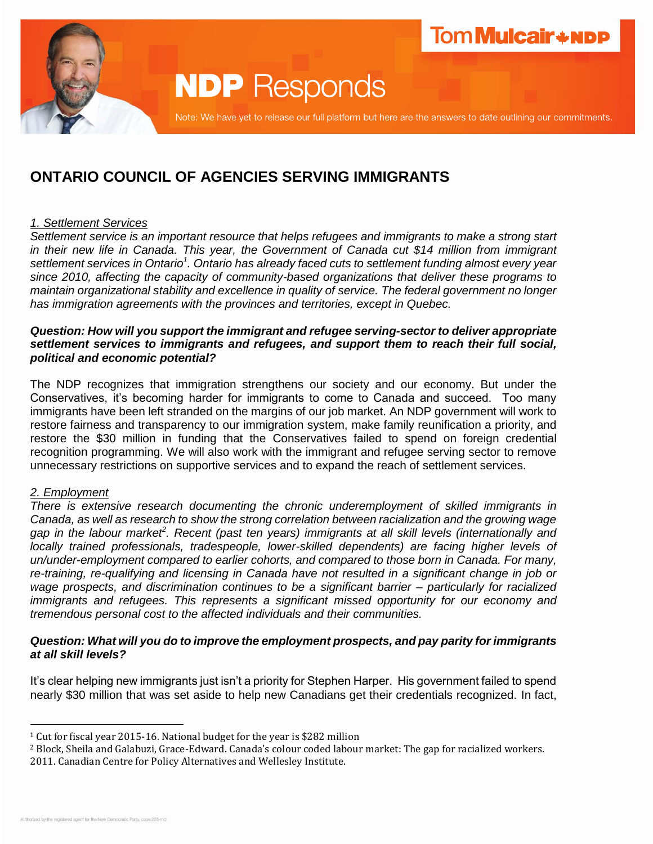

# **NDP** Responds

Note: We have yet to release our full platform but here are the answers to date outlining our commitments.

# **ONTARIO COUNCIL OF AGENCIES SERVING IMMIGRANTS**

# *1. Settlement Services*

*Settlement service is an important resource that helps refugees and immigrants to make a strong start in their new life in Canada. This year, the Government of Canada cut \$14 million from immigrant*  settlement services in Ontario<sup>1</sup>. Ontario has already faced cuts to settlement funding almost every year *since 2010, affecting the capacity of community-based organizations that deliver these programs to maintain organizational stability and excellence in quality of service. The federal government no longer has immigration agreements with the provinces and territories, except in Quebec.*

#### *Question: How will you support the immigrant and refugee serving-sector to deliver appropriate settlement services to immigrants and refugees, and support them to reach their full social, political and economic potential?*

The NDP recognizes that immigration strengthens our society and our economy. But under the Conservatives, it's becoming harder for immigrants to come to Canada and succeed. Too many immigrants have been left stranded on the margins of our job market. An NDP government will work to restore fairness and transparency to our immigration system, make family reunification a priority, and restore the \$30 million in funding that the Conservatives failed to spend on foreign credential recognition programming. We will also work with the immigrant and refugee serving sector to remove unnecessary restrictions on supportive services and to expand the reach of settlement services.

# *2. Employment*

*There is extensive research documenting the chronic underemployment of skilled immigrants in Canada, as well as research to show the strong correlation between racialization and the growing wage gap in the labour market<sup>2</sup> . Recent (past ten years) immigrants at all skill levels (internationally and locally trained professionals, tradespeople, lower-skilled dependents) are facing higher levels of un/under-employment compared to earlier cohorts, and compared to those born in Canada. For many, re-training, re-qualifying and licensing in Canada have not resulted in a significant change in job or wage prospects, and discrimination continues to be a significant barrier – particularly for racialized immigrants and refugees. This represents a significant missed opportunity for our economy and tremendous personal cost to the affected individuals and their communities.* 

# *Question: What will you do to improve the employment prospects, and pay parity for immigrants at all skill levels?*

It's clear helping new immigrants just isn't a priority for Stephen Harper. His government failed to spend nearly \$30 million that was set aside to help new Canadians get their credentials recognized. In fact,

 $\overline{a}$ 

<sup>1</sup> Cut for fiscal year 2015-16. National budget for the year is \$282 million

<sup>2</sup> Block, Sheila and Galabuzi, Grace-Edward. Canada's colour coded labour market: The gap for racialized workers. 2011. Canadian Centre for Policy Alternatives and Wellesley Institute.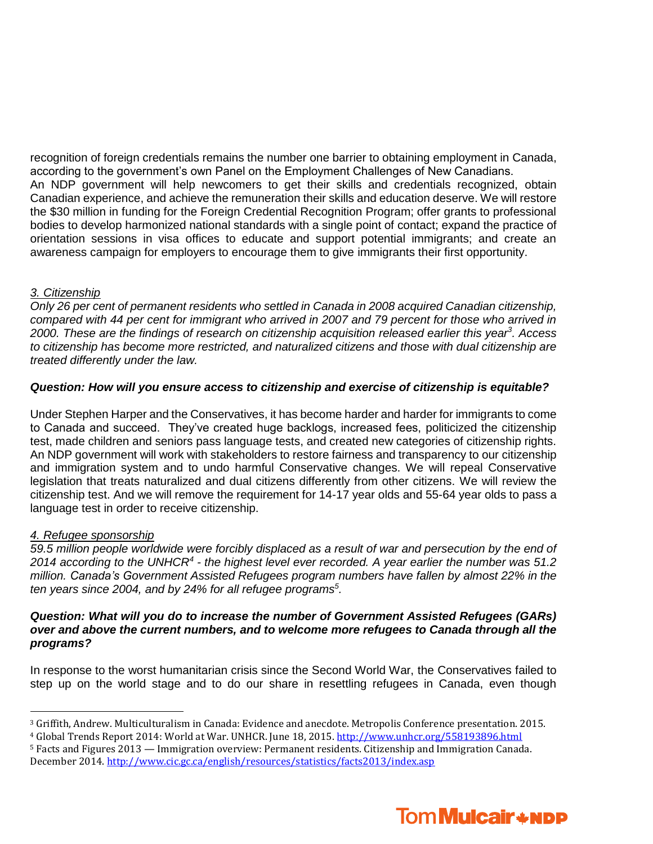recognition of foreign credentials remains the number one barrier to obtaining employment in Canada, according to the government's own Panel on the Employment Challenges of New Canadians. An NDP government will help newcomers to get their skills and credentials recognized, obtain Canadian experience, and achieve the remuneration their skills and education deserve. We will restore the \$30 million in funding for the Foreign Credential Recognition Program; offer grants to professional bodies to develop harmonized national standards with a single point of contact; expand the practice of orientation sessions in visa offices to educate and support potential immigrants; and create an awareness campaign for employers to encourage them to give immigrants their first opportunity.

# *3. Citizenship*

*Only 26 per cent of permanent residents who settled in Canada in 2008 acquired Canadian citizenship, compared with 44 per cent for immigrant who arrived in 2007 and 79 percent for those who arrived in 2000. These are the findings of research on citizenship acquisition released earlier this year<sup>3</sup> . Access to citizenship has become more restricted, and naturalized citizens and those with dual citizenship are treated differently under the law.*

#### *Question: How will you ensure access to citizenship and exercise of citizenship is equitable?*

Under Stephen Harper and the Conservatives, it has become harder and harder for immigrants to come to Canada and succeed. They've created huge backlogs, increased fees, politicized the citizenship test, made children and seniors pass language tests, and created new categories of citizenship rights. An NDP government will work with stakeholders to restore fairness and transparency to our citizenship and immigration system and to undo harmful Conservative changes. We will repeal Conservative legislation that treats naturalized and dual citizens differently from other citizens. We will review the citizenship test. And we will remove the requirement for 14-17 year olds and 55-64 year olds to pass a language test in order to receive citizenship.

# *4. Refugee sponsorship*

 $\overline{a}$ 

*59.5 million people worldwide were forcibly displaced as a result of war and persecution by the end of*  2014 according to the UNHCR<sup>4</sup> - the highest level ever recorded. A year earlier the number was 51.2 *million. Canada's Government Assisted Refugees program numbers have fallen by almost 22% in the ten years since 2004, and by 24% for all refugee programs<sup>5</sup> .*

#### *Question: What will you do to increase the number of Government Assisted Refugees (GARs) over and above the current numbers, and to welcome more refugees to Canada through all the programs?*

In response to the worst humanitarian crisis since the Second World War, the Conservatives failed to step up on the world stage and to do our share in resettling refugees in Canada, even though

<sup>5</sup> Facts and Figures 2013 — Immigration overview: Permanent residents. Citizenship and Immigration Canada. December 2014[. http://www.cic.gc.ca/english/resources/statistics/facts2013/index.asp](http://www.cic.gc.ca/english/resources/statistics/facts2013/index.asp)



<sup>3</sup> Griffith, Andrew. Multiculturalism in Canada: Evidence and anecdote. Metropolis Conference presentation. 2015.

<sup>4</sup> Global Trends Report 2014: World at War. UNHCR. June 18, 2015.<http://www.unhcr.org/558193896.html>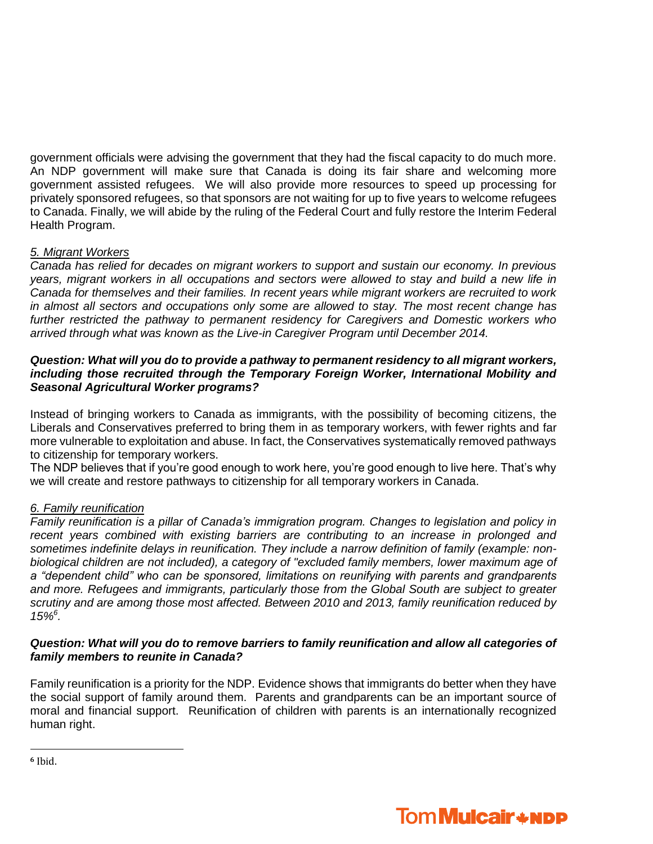government officials were advising the government that they had the fiscal capacity to do much more. An NDP government will make sure that Canada is doing its fair share and welcoming more government assisted refugees. We will also provide more resources to speed up processing for privately sponsored refugees, so that sponsors are not waiting for up to five years to welcome refugees to Canada. Finally, we will abide by the ruling of the Federal Court and fully restore the Interim Federal Health Program.

# *5. Migrant Workers*

*Canada has relied for decades on migrant workers to support and sustain our economy. In previous years, migrant workers in all occupations and sectors were allowed to stay and build a new life in Canada for themselves and their families. In recent years while migrant workers are recruited to work in almost all sectors and occupations only some are allowed to stay. The most recent change has further restricted the pathway to permanent residency for Caregivers and Domestic workers who arrived through what was known as the Live-in Caregiver Program until December 2014.*

#### *Question: What will you do to provide a pathway to permanent residency to all migrant workers, including those recruited through the Temporary Foreign Worker, International Mobility and Seasonal Agricultural Worker programs?*

Instead of bringing workers to Canada as immigrants, with the possibility of becoming citizens, the Liberals and Conservatives preferred to bring them in as temporary workers, with fewer rights and far more vulnerable to exploitation and abuse. In fact, the Conservatives systematically removed pathways to citizenship for temporary workers.

The NDP believes that if you're good enough to work here, you're good enough to live here. That's why we will create and restore pathways to citizenship for all temporary workers in Canada.

# *6. Family reunification*

*Family reunification is a pillar of Canada's immigration program. Changes to legislation and policy in recent years combined with existing barriers are contributing to an increase in prolonged and sometimes indefinite delays in reunification. They include a narrow definition of family (example: nonbiological children are not included), a category of "excluded family members, lower maximum age of a "dependent child" who can be sponsored, limitations on reunifying with parents and grandparents and more. Refugees and immigrants, particularly those from the Global South are subject to greater scrutiny and are among those most affected. Between 2010 and 2013, family reunification reduced by 15%<sup>6</sup> .*

#### *Question: What will you do to remove barriers to family reunification and allow all categories of family members to reunite in Canada?*

Family reunification is a priority for the NDP. Evidence shows that immigrants do better when they have the social support of family around them. Parents and grandparents can be an important source of moral and financial support. Reunification of children with parents is an internationally recognized human right.

**<sup>6</sup>** Ibid.

l